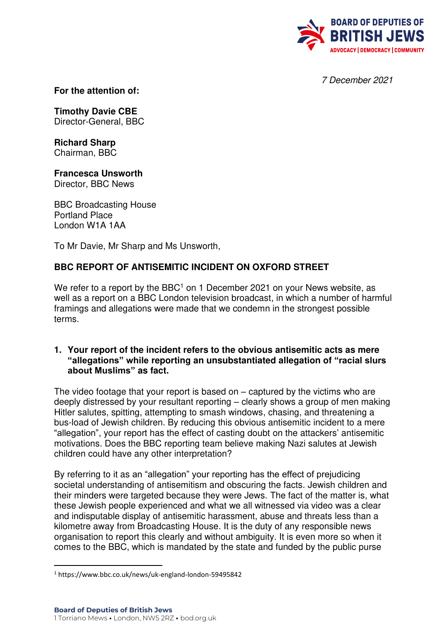

7 December 2021

**For the attention of:** 

**Timothy Davie CBE** Director-General, BBC

**Richard Sharp**  Chairman, BBC

**Francesca Unsworth**  Director, BBC News

BBC Broadcasting House Portland Place London W1A 1AA

To Mr Davie, Mr Sharp and Ms Unsworth,

# **BBC REPORT OF ANTISEMITIC INCIDENT ON OXFORD STREET**

We refer to a report by the BBC<sup>1</sup> on 1 December 2021 on your News website, as well as a report on a BBC London television broadcast, in which a number of harmful framings and allegations were made that we condemn in the strongest possible terms.

#### **1. Your report of the incident refers to the obvious antisemitic acts as mere "allegations" while reporting an unsubstantiated allegation of "racial slurs about Muslims" as fact.**

The video footage that your report is based on – captured by the victims who are deeply distressed by your resultant reporting – clearly shows a group of men making Hitler salutes, spitting, attempting to smash windows, chasing, and threatening a bus-load of Jewish children. By reducing this obvious antisemitic incident to a mere "allegation", your report has the effect of casting doubt on the attackers' antisemitic motivations. Does the BBC reporting team believe making Nazi salutes at Jewish children could have any other interpretation?

By referring to it as an "allegation" your reporting has the effect of prejudicing societal understanding of antisemitism and obscuring the facts. Jewish children and their minders were targeted because they were Jews. The fact of the matter is, what these Jewish people experienced and what we all witnessed via video was a clear and indisputable display of antisemitic harassment, abuse and threats less than a kilometre away from Broadcasting House. It is the duty of any responsible news organisation to report this clearly and without ambiguity. It is even more so when it comes to the BBC, which is mandated by the state and funded by the public purse

<sup>1</sup> https://www.bbc.co.uk/news/uk-england-london-59495842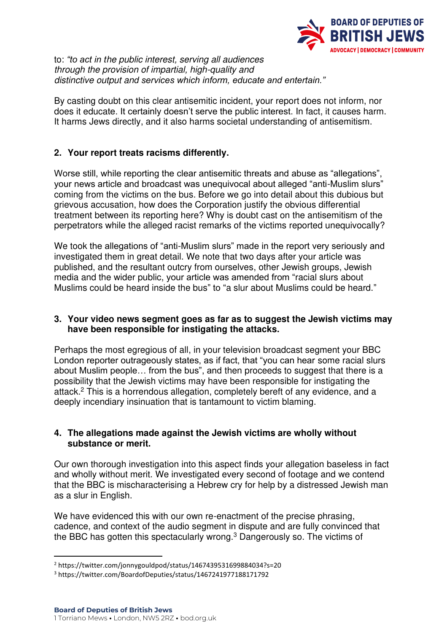

to: *"to act in t*he public interest, serving all audiences through the provision of impartial, high-quality and distinctive output an*d services which inform, educate and entertain."*

By casting doubt on this clear antisemitic incident, your report does not inform, nor does it educate. It certainly doesn't serve the public interest. In fact, it causes harm. It harms Jews directly, and it also harms societal understanding of antisemitism.

# **2. Your report treats racisms differently.**

Worse still, while reporting the clear antisemitic threats and abuse as "allegations", your news article and broadcast was unequivocal about alleged "anti-Muslim slurs" coming from the victims on the bus. Before we go into detail about this dubious but grievous accusation, how does the Corporation justify the obvious differential treatment between its reporting here? Why is doubt cast on the antisemitism of the perpetrators while the alleged racist remarks of the victims reported unequivocally?

We took the allegations of "anti-Muslim slurs" made in the report very seriously and investigated them in great detail. We note that two days after your article was published, and the resultant outcry from ourselves, other Jewish groups, Jewish media and the wider public, your article was amended from "racial slurs about Muslims could be heard inside the bus" to "a slur about Muslims could be heard."

### **3. Your video news segment goes as far as to suggest the Jewish victims may have been responsible for instigating the attacks.**

Perhaps the most egregious of all, in your television broadcast segment your BBC London reporter outrageously states, as if fact, that "you can hear some racial slurs about Muslim people… from the bus", and then proceeds to suggest that there is a possibility that the Jewish victims may have been responsible for instigating the attack.<sup>2</sup> This is a horrendous allegation, completely bereft of any evidence, and a deeply incendiary insinuation that is tantamount to victim blaming.

#### **4. The allegations made against the Jewish victims are wholly without substance or merit.**

Our own thorough investigation into this aspect finds your allegation baseless in fact and wholly without merit. We investigated every second of footage and we contend that the BBC is mischaracterising a Hebrew cry for help by a distressed Jewish man as a slur in English.

We have evidenced this with our own re-enactment of the precise phrasing, cadence, and context of the audio segment in dispute and are fully convinced that the BBC has gotten this spectacularly wrong.<sup>3</sup> Dangerously so. The victims of

<sup>2</sup> https://twitter.com/jonnygouldpod/status/1467439531699884034?s=20

<sup>3</sup> https://twitter.com/BoardofDeputies/status/1467241977188171792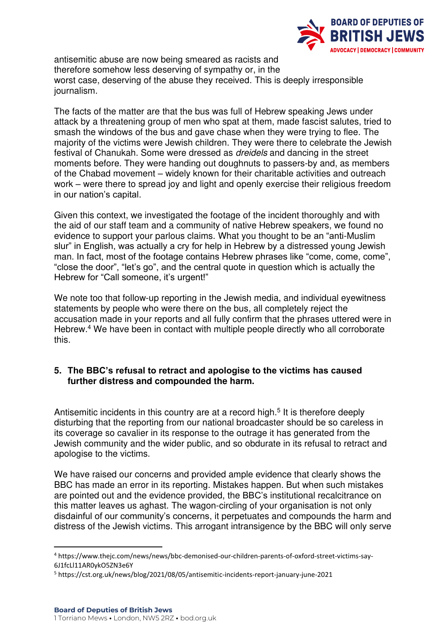

antisemitic abuse are now being smeared as racists and therefore somehow less deserving of sympathy or, in the worst case, deserving of the abuse they received. This is deeply irresponsible journalism.

The facts of the matter are that the bus was full of Hebrew speaking Jews under attack by a threatening group of men who spat at them, made fascist salutes, tried to smash the windows of the bus and gave chase when they were trying to flee. The majority of the victims were Jewish children. They were there to celebrate the Jewish festival of Chanukah. Some were dressed as dreidels and dancing in the street moments before. They were handing out doughnuts to passers-by and, as members of the Chabad movement – widely known for their charitable activities and outreach work – were there to spread joy and light and openly exercise their religious freedom in our nation's capital.

Given this context, we investigated the footage of the incident thoroughly and with the aid of our staff team and a community of native Hebrew speakers, we found no evidence to support your parlous claims. What you thought to be an "anti-Muslim slur" in English, was actually a cry for help in Hebrew by a distressed young Jewish man. In fact, most of the footage contains Hebrew phrases like "come, come, come", "close the door", "let's go", and the central quote in question which is actually the Hebrew for "Call someone, it's urgent!"

We note too that follow-up reporting in the Jewish media, and individual eyewitness statements by people who were there on the bus, all completely reject the accusation made in your reports and all fully confirm that the phrases uttered were in Hebrew.<sup>4</sup> We have been in contact with multiple people directly who all corroborate this.

# **5. The BBC's refusal to retract and apologise to the victims has caused further distress and compounded the harm.**

Antisemitic incidents in this country are at a record high.<sup>5</sup> It is therefore deeply disturbing that the reporting from our national broadcaster should be so careless in its coverage so cavalier in its response to the outrage it has generated from the Jewish community and the wider public, and so obdurate in its refusal to retract and apologise to the victims.

We have raised our concerns and provided ample evidence that clearly shows the BBC has made an error in its reporting. Mistakes happen. But when such mistakes are pointed out and the evidence provided, the BBC's institutional recalcitrance on this matter leaves us aghast. The wagon-circling of your organisation is not only disdainful of our community's concerns, it perpetuates and compounds the harm and distress of the Jewish victims. This arrogant intransigence by the BBC will only serve

<sup>4</sup> https://www.thejc.com/news/news/bbc-demonised-our-children-parents-of-oxford-street-victims-say-6J1fcLl11AR0ykO5ZN3e6Y

<sup>&</sup>lt;sup>5</sup> https://cst.org.uk/news/blog/2021/08/05/antisemitic-incidents-report-january-june-2021